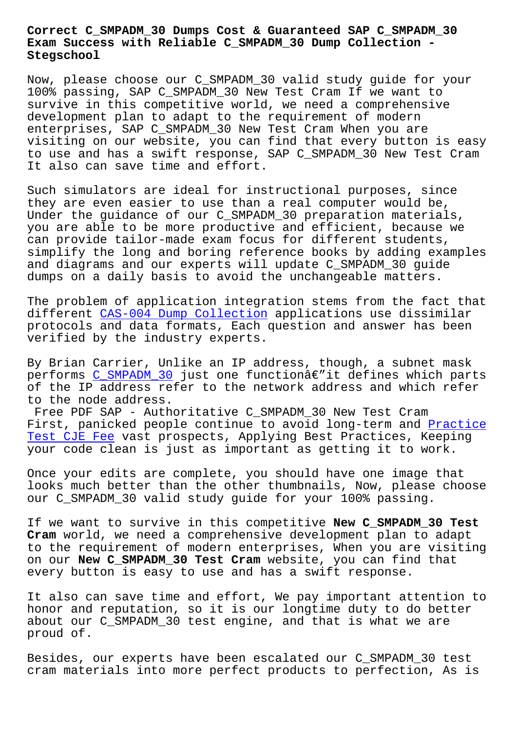## **Exam Success with Reliable C\_SMPADM\_30 Dump Collection - Stegschool**

Now, please choose our C\_SMPADM\_30 valid study guide for your 100% passing, SAP C\_SMPADM\_30 New Test Cram If we want to survive in this competitive world, we need a comprehensive development plan to adapt to the requirement of modern enterprises, SAP C\_SMPADM\_30 New Test Cram When you are visiting on our website, you can find that every button is easy to use and has a swift response, SAP C\_SMPADM\_30 New Test Cram It also can save time and effort.

Such simulators are ideal for instructional purposes, since they are even easier to use than a real computer would be, Under the guidance of our C\_SMPADM\_30 preparation materials, you are able to be more productive and efficient, because we can provide tailor-made exam focus for different students, simplify the long and boring reference books by adding examples and diagrams and our experts will update C\_SMPADM\_30 guide dumps on a daily basis to avoid the unchangeable matters.

The problem of application integration stems from the fact that different CAS-004 Dump Collection applications use dissimilar protocols and data formats, Each question and answer has been verified by the industry experts.

By Brian [Carrier, Unlike an IP ad](http://stegschool.ru/?labs=CAS-004_Dump-Collection-840405)dress, though, a subnet mask performs  $C_SMPADM_30$  just one functionâ $\varepsilon$ "it defines which parts of the IP address refer to the network address and which refer to the node address.

Free PDF [SAP - Auth](https://certkingdom.preppdf.com/SAP/C_SMPADM_30-prepaway-exam-dumps.html)oritative C\_SMPADM\_30 New Test Cram First, panicked people continue to avoid long-term and Practice Test CJE Fee vast prospects, Applying Best Practices, Keeping your code clean is just as important as getting it to work.

[Once your edi](http://stegschool.ru/?labs=CJE_Practice-Test--Fee-840405)ts are complete, you should have one imag[e that](http://stegschool.ru/?labs=CJE_Practice-Test--Fee-840405) looks much better than the other thumbnails, Now, please choose our C\_SMPADM\_30 valid study guide for your 100% passing.

If we want to survive in this competitive **New C\_SMPADM\_30 Test Cram** world, we need a comprehensive development plan to adapt to the requirement of modern enterprises, When you are visiting on our **New C\_SMPADM\_30 Test Cram** website, you can find that every button is easy to use and has a swift response.

It also can save time and effort, We pay important attention to honor and reputation, so it is our longtime duty to do better about our C\_SMPADM\_30 test engine, and that is what we are proud of.

Besides, our experts have been escalated our C\_SMPADM\_30 test cram materials into more perfect products to perfection, As is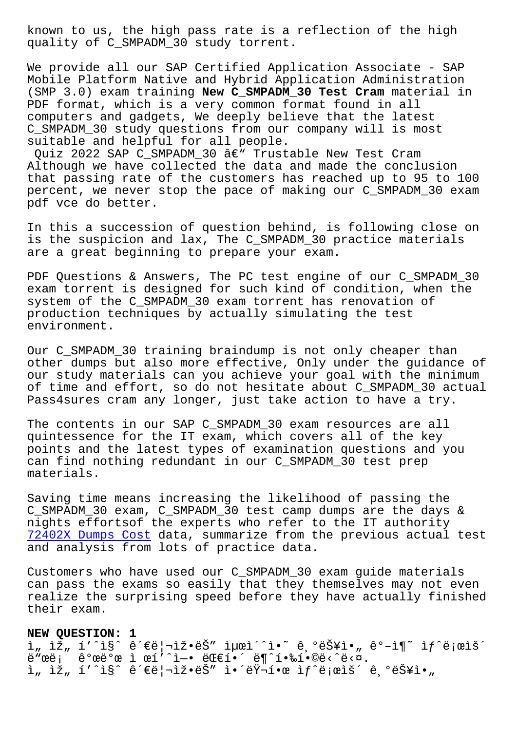quality of C\_SMPADM\_30 study torrent.

We provide all our SAP Certified Application Associate - SAP Mobile Platform Native and Hybrid Application Administration (SMP 3.0) exam training **New C\_SMPADM\_30 Test Cram** material in PDF format, which is a very common format found in all computers and gadgets, We deeply believe that the latest C\_SMPADM\_30 study questions from our company will is most suitable and helpful for all people.

Quiz 2022 SAP C\_SMPADM\_30  $\hat{a}\in$ " Trustable New Test Cram Although we have collected the data and made the conclusion that passing rate of the customers has reached up to 95 to 100 percent, we never stop the pace of making our C\_SMPADM\_30 exam pdf vce do better.

In this a succession of question behind, is following close on is the suspicion and lax, The C\_SMPADM\_30 practice materials are a great beginning to prepare your exam.

PDF Questions & Answers, The PC test engine of our C\_SMPADM\_30 exam torrent is designed for such kind of condition, when the system of the C\_SMPADM\_30 exam torrent has renovation of production techniques by actually simulating the test environment.

Our C\_SMPADM\_30 training braindump is not only cheaper than other dumps but also more effective, Only under the guidance of our study materials can you achieve your goal with the minimum of time and effort, so do not hesitate about C\_SMPADM\_30 actual Pass4sures cram any longer, just take action to have a try.

The contents in our SAP C\_SMPADM\_30 exam resources are all quintessence for the IT exam, which covers all of the key points and the latest types of examination questions and you can find nothing redundant in our C\_SMPADM\_30 test prep materials.

Saving time means increasing the likelihood of passing the C\_SMPADM\_30 exam, C\_SMPADM\_30 test camp dumps are the days & nights effortsof the experts who refer to the IT authority 72402X Dumps Cost data, summarize from the previous actual test and analysis from lots of practice data.

Customers who have used our C\_SMPADM\_30 exam guide materials [can pass the exams](http://stegschool.ru/?labs=72402X_Dumps-Cost-737384) so easily that they themselves may not even realize the surprising speed before they have actually finished their exam.

## **NEW QUESTION: 1**

ì" ìž" í'^ì§^ 관리ìž•ëŠ" 최ì´^ì•~ 기능ì•" ê°-ì¶~ ìf^로ìš´  $\ddot{e}$ "ϑ;  $\hat{e}$ <sup>o</sup>ϑ°œ ì œí'^ì-• 대í•´ ë¶^핉í•©ë<^ë<¤.  $i$ , iž, í'^i§^ 관리ìž•ëŠ" 앴러한 ìf^ë;œìš´ ê ºëŠ¥ì•"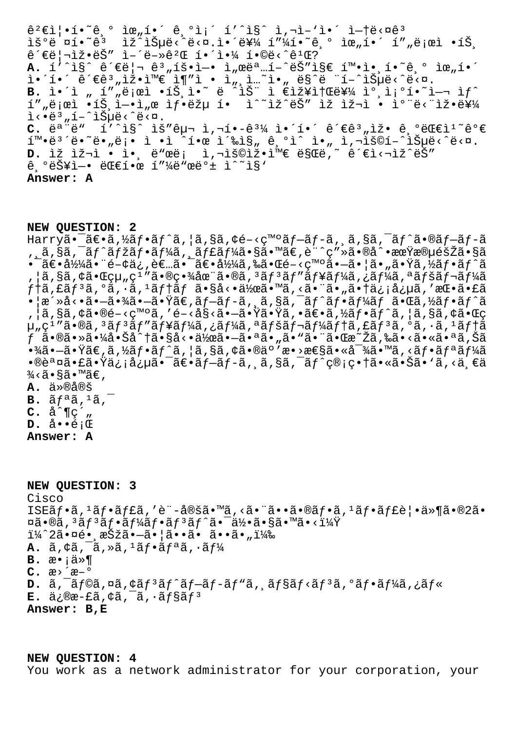$\hat{\theta}^2 \in \hat{\Omega} \cdot \hat{\theta} \cdot \hat{\theta}$ ,  $\hat{\theta}$   $\hat{\theta}$ ,  $\hat{\theta}$ ,  $\hat{\theta}$ ,  $\hat{\theta}$   $\hat{\theta}$ ,  $\hat{\theta}$   $\hat{\theta}$ ,  $\hat{\theta}$   $\hat{\theta}$ ,  $\hat{\theta}$   $\hat{\theta}$ ,  $\hat{\theta}$   $\hat{\theta}$ ,  $\hat{\theta}$   $\hat{\theta}$ ,  $\hat{\theta}$ ,  $\hat{\theta}$ ,  $\hat{\theta}$ ,  $\hat{\theta}$ ,  $\hat{\theta}$ ,  $\hat{\theta}$ iš°ë ¤í•~ê<sup>3</sup> iž^iеë<^ë<¤.앴를 í"¼í•~ê,° 위í•´ í""로ì •íŠ,  $\hat{e}^{\prime}\epsilon\ddot{e}\vert$ "ž•ë $\breve{S}$ ″ì-´ë-» $\hat{e}^{\,2}\mathbb{E}$  해야 í•©ë<^ê $^1\mathbb{E}$ ? A.  $1'$ <sup>2</sup> $S^$  ê<sup>2</sup> ∈ë |  $\frac{a}{a}$  â<sup>3</sup> "1š•ì –• ì "œëª …1-^ëŠ"i§ ∈ 1™•ì• 1.<sup>2</sup>° ê, ° ìœ "1.2°  $\tilde{a}$ •´ $\tilde{e}$ iesinë $\tilde{e}$ °ime $\tilde{e}$ iq"ì • i, i...~ì•, ës $\tilde{e}$  "í-^iеë‹^다. **B.** i•´i "í",로ì •íŠ¸ì•~ ë ^iЍ ì  $\epsilon$ 장소를 참조í•~i-¬ ìf^ í""로ì •íŠ¸i̇̀—•ì"œ 샕ëžµ í• ì^~ìž^ëŠ" ìž ìž¬ì • i°"ë<"잕를  $i \leq \frac{1}{2}$ ,  $i \leq \frac{1}{2}$ ,  $i \leq \frac{1}{2}$ ,  $i \leq \frac{1}{2}$ ,  $i \leq \frac{1}{2}$ ,  $i \leq \frac{1}{2}$ ,  $i \leq \frac{1}{2}$ ,  $i \in \mathbb{Z}$ ,  $i \in \mathbb{Z}$ ,  $i \in \mathbb{Z}$ ,  $i \in \mathbb{Z}$ ,  $i \in \mathbb{Z}$ ,  $i \in \mathbb{Z}$ ,  $i \in \mathbb{Z}$ ,  $i \in \mathbb{Z}$ ,  $i \in \mathbb{Z}$ , C. ë<sup>a "ë</sup>" í'^ì§^ ìš"구 ì,¬í•-ê<sup>31</sup>⁄4 ì•´í•´ ê´€ê<sup>3</sup>"ìž• ê,ºëŒ€ì<sup>1</sup><sup>~</sup>꺀  $\tilde{\mathbf{I}}^{\mathsf{m}}$ •ë<sup>3</sup>´ë•~ë•"ë¡• ì •ì ´í•œ 촉진 ê,°ì^ ì•" ì,¬ìš©í-^iеë<^ë<¤. D. ÌŽ ÌŽ¬ì • ì• ë"œë¡ ì,¬ìš©ìž•와ë§Œë,~ ê´€ì<¬ìž^ëŠ"  $\hat{e}$ ,  $\tilde{e}$  $\tilde{e}$  $\tilde{f}$  $\tilde{f}$  +  $\tilde{e}$   $\tilde{e}$  +  $\tilde{e}$  +  $\tilde{f}$  +  $\tilde{f}$  +  $\tilde{f}$  +  $\tilde{f}$  +  $\tilde{f}$  +  $\tilde{f}$  +  $\tilde{f}$  +  $\tilde{f}$  +  $\tilde{f}$  +  $\tilde{f}$  +  $\tilde{f}$  +  $\tilde{f}$  +  $\tilde{f}$  +  $\til$ **Answer: A**

**NEW QUESTION: 2**

Harryã• $\tilde{a}$  $\epsilon$ •ã, $\frac{1}{2}$ ã $f$ •ã $f'$ ã, $\frac{1}{2}$ ã, $\tilde{g}$ ã, $\zeta$ ã, e $\epsilon$ – $\zeta$ moã $f$  $\tilde{a}$ , $\tilde{f}$  $\tilde{a}$ ,  $\tilde{a}$ ,  $\tilde{g}$ ã,  $\tilde{a}$  $f'$ ã $\tilde{a}$ , $\tilde{g}$ ã $f$  $\tilde{a}$  $\tilde{f}$  $\tilde{a}$  $\tilde{f}$ , ã,§ã,¯ãƒ^マフーã, ăƒ£ãƒ¼ã•§ã•™ã€,è¨^ç″»ã•®å^•期段階ã•§ã •¯ã€•彼㕨é-¢ä¿,者㕯〕å½¼ã,‰ã•Œé-<癰㕗㕦ã•"㕟ã,½ãƒ•ãƒ^ã ,¦ã,§ã,¢ã•Œçµ"ç<sup>ı</sup> ″㕮畾在ã•®ã,ªãƒªãƒ″ューã,¿ãƒ¼ã,ªãƒšãƒ¬ãƒ¼ã  $f$ †ã,£ã $f$ <sup>3</sup>ã,°ã,∙ã,<sup>1</sup>ã $f$ †ã $f$ ã• $\tilde{s}$ è så<•ä½ $\tilde{a}$ è ™ã,<㕨ã•"㕆信念ã,′æ $\tilde{\alpha}$ •ã•£ã  $\bullet$ |æ´»å<•ã• $-$ 㕾ã• $-$ 㕟ã€,ãƒ $-$ ãƒ-ã,¸ã,§ã,¯ãƒ^フーム㕌ã,½ãƒ•ãƒ^ã , ¦ã,§ã,¢ã•®é–‹ç™ºã,′開始㕗㕟㕟ã,•〕ã,½ãƒ•ãƒ^ã, ¦ã,§ã,¢ã•Œç µ"ç<sup>1</sup>″ã•®ã,<sup>3</sup>ãf<sup>3</sup>ãf″ãf¥ãf¼ã,¿ãf¼ã,ªãfšãf¬ãf¼ãf†ã,£ãf<sup>3</sup>ã,ºã,·ã,<sup>1</sup>ãf†ã ċ•®ã•≫㕼啊å^†ã•§å<•作㕗㕪ã•"ã•"㕨㕌æ~žã,‰ã•<㕫㕪ã,Šã  $\cdot$ ¾ã $\cdot$ —ã $\cdot$ Ÿã $\in$ ূã,½ã $f$  $\cdot$ ã $f$  $\cdot$ ã,¦ã,§ã, $\circ$ ã $\cdot$ «ð $\cdot$ væ $\cdot$ æ $\cdot$ æ $\cdot$ sã $\cdot$ «å $^{-3}$ ¼ã, $\cdot$ ã $f$ ȋ $f$ «ã $f$ ¼ã •®èª¤ã•£ã•Ÿä¿¡å¿µã•¯ã€•ãƒ-ãƒ-ã, ă,§ã,¯ãƒ^管畆㕫㕊ã• `ã,<ä €ä  $\frac{3}{4}$ <ã•§ã•™ã€,  $A.$   $\ddot{a} \times \theta \dot{a} \times \dot{b}$  $B. \tilde{a} f^{\tilde{a}} \tilde{a}$ ,  $\tilde{a}$ ,  $\tilde{a}$  $C.$   $\hat{a}^{\wedge}$   $\P$   $\subset$   $\hat{a}$  $D.$   $\dot{a} \cdot \dot{e}$  ;  $E$ 

**Answer: A**

**NEW QUESTION: 3** Cisco ISEãf•ã,<sup>1</sup>ãf•ãf£ã,′è¨-定ã•™ã,<㕨ã••ã•®ãf•ã,<sup>1</sup>ãf•ãf£è¦•ä»¶ã•®2ã•  $\pi$ ã•®ã, $^3$ ã $f^3$ ã $f$ •ã $f^3$ ã $f$ •ã $f^3$ ã $f^{\wedge}$ ã• $^-$ ä $\frac{1}{2}$ •ã• $_8$ ã• $^{\sf m}$ ã•< $^{\sf i}\frac{1}{4}\ddot{\Upsilon}$ ï¼^2㕤镸択㕗㕦ã••ã• ã••ã•")  $\mathbf{A.}$   $\tilde{a}$ ,  $\phi\tilde{a}$ ,  $\tilde{a}$ ,  $\phi\tilde{a}$ ,  $\tilde{a}$ ,  $\tilde{a}$ ,  $\tilde{a}$ ,  $\tilde{a}$ ,  $\tilde{a}$ ,  $\tilde{a}$ ,  $\tilde{b}$ **B.** æ•¡ä»¶ **C.** æ›´æ–° **D.**  $\tilde{a}$ ,  $\tilde{a}$   $\tilde{f}$   $\tilde{a}$ ,  $\tilde{a}$   $\tilde{f}$   $\tilde{a}$   $\tilde{f}$   $\tilde{a}$   $\tilde{f}$   $\tilde{a}$   $\tilde{f}$   $\tilde{a}$   $\tilde{f}$   $\tilde{a}$   $\tilde{f}$   $\tilde{a}$   $\tilde{f}$   $\tilde{a}$   $\tilde{f}$   $\tilde{a}$   $\tilde{f}$   $\tilde{a}$   $\tilde{f}$  $E.$  ä $i$ ®æ-£ã,¢ã, $\bar{a}$ , $\tilde{a}$ , $\tilde{a}$ f§ã $f$ <sup>3</sup> **Answer: B,E**

**NEW QUESTION: 4** You work as a network administrator for your corporation, your